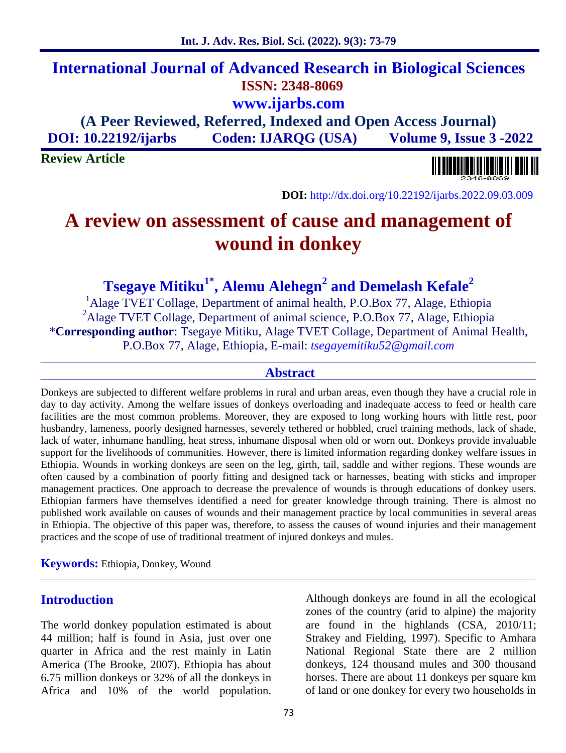# **International Journal of Advanced Research in Biological Sciences ISSN: 2348-8069 www.ijarbs.com**

**(A Peer Reviewed, Referred, Indexed and Open Access Journal) DOI: 10.22192/ijarbs Coden: IJARQG (USA) Volume 9, Issue 3 -2022**

**Review Article**



**DOI:** http://dx.doi.org/10.22192/ijarbs.2022.09.03.009

# **A review on assessment of cause and management of wound in donkey**

**Tsegaye Mitiku1\* , Alemu Alehegn<sup>2</sup> and Demelash Kefale<sup>2</sup>**

<sup>1</sup>Alage TVET Collage, Department of animal health, P.O.Box 77, Alage, Ethiopia <sup>2</sup>Alage TVET Collage, Department of animal science, P.O.Box 77, Alage, Ethiopia \***Corresponding author**: Tsegaye Mitiku, Alage TVET Collage, Department of Animal Health, P.O.Box 77, Alage, Ethiopia, E-mail: *tsegayemitiku52@gmail.com*

#### **Abstract**

Donkeys are subjected to different welfare problems in rural and urban areas, even though they have a crucial role in day to day activity. Among the welfare issues of donkeys overloading and inadequate access to feed or health care facilities are the most common problems. Moreover, they are exposed to long working hours with little rest, poor husbandry, lameness, poorly designed harnesses, severely tethered or hobbled, cruel training methods, lack of shade, lack of water, inhumane handling, heat stress, inhumane disposal when old or worn out. Donkeys provide invaluable support for the livelihoods of communities. However, there is limited information regarding donkey welfare issues in Ethiopia. Wounds in working donkeys are seen on the leg, girth, tail, saddle and wither regions. These wounds are often caused by a combination of poorly fitting and designed tack or harnesses, beating with sticks and improper management practices. One approach to decrease the prevalence of wounds is through educations of donkey users. Ethiopian farmers have themselves identified a need for greater knowledge through training. There is almost no published work available on causes of wounds and their management practice by local communities in several areas in Ethiopia. The objective of this paper was, therefore, to assess the causes of wound injuries and their management practices and the scope of use of traditional treatment of injured donkeys and mules.

**Keywords:** Ethiopia, Donkey, Wound

### **Introduction**

The world donkey population estimated is about 44 million; half is found in Asia, just over one quarter in Africa and the rest mainly in Latin America (The Brooke, 2007). Ethiopia has about 6.75 million donkeys or 32% of all the donkeys in Africa and 10% of the world population.

Although donkeys are found in all the ecological zones of the country (arid to alpine) the majority are found in the highlands (CSA, 2010/11; Strakey and Fielding, 1997). Specific to Amhara National Regional State there are 2 million donkeys, 124 thousand mules and 300 thousand horses. There are about 11 donkeys per square km of land or one donkey for every two households in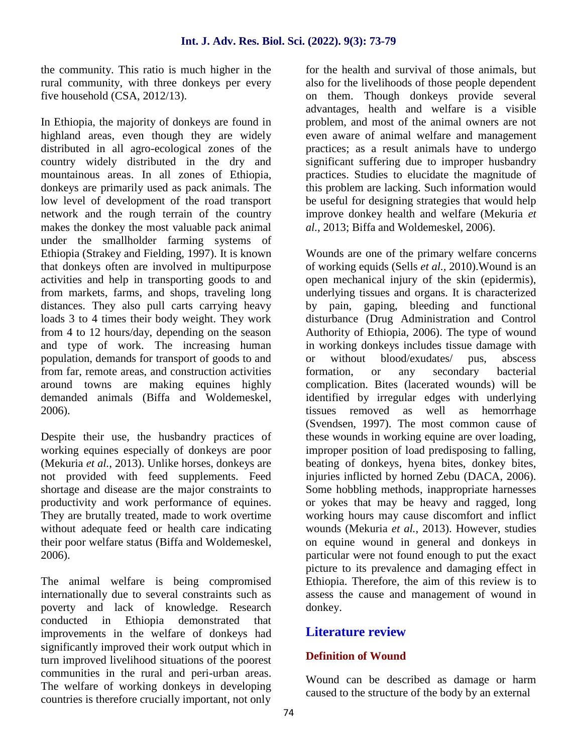the community. This ratio is much higher in the rural community, with three donkeys per every five household (CSA, 2012/13).

In Ethiopia, the majority of donkeys are found in highland areas, even though they are widely distributed in all agro-ecological zones of the country widely distributed in the dry and mountainous areas. In all zones of Ethiopia, donkeys are primarily used as pack animals. The low level of development of the road transport network and the rough terrain of the country makes the donkey the most valuable pack animal under the smallholder farming systems of Ethiopia (Strakey and Fielding, 1997). It is known that donkeys often are involved in multipurpose activities and help in transporting goods to and from markets, farms, and shops, traveling long distances. They also pull carts carrying heavy by pain, loads 3 to 4 times their body weight. They work from 4 to 12 hours/day, depending on the season and type of work. The increasing human population, demands for transport of goods to and from far, remote areas, and construction activities around towns are making equines highly demanded animals (Biffa and Woldemeskel, 2006).

Despite their use, the husbandry practices of working equines especially of donkeys are poor (Mekuria *et al.*, 2013). Unlike horses, donkeys are not provided with feed supplements. Feed shortage and disease are the major constraints to productivity and work performance of equines. They are brutally treated, made to work overtime without adequate feed or health care indicating their poor welfare status (Biffa and Woldemeskel, 2006).

The animal welfare is being compromised internationally due to several constraints such as poverty and lack of knowledge. Research conducted in Ethiopia demonstrated that improvements in the welfare of donkeys had significantly improved their work output which in turn improved livelihood situations of the poorest communities in the rural and peri-urban areas. The welfare of working donkeys in developing countries is therefore crucially important, not only

for the health and survival of those animals, but also for the livelihoods of those people dependent on them. Though donkeys provide several advantages, health and welfare is a visible problem, and most of the animal owners are not even aware of animal welfare and management practices; as a result animals have to undergo significant suffering due to improper husbandry practices. Studies to elucidate the magnitude of this problem are lacking. Such information would be useful for designing strategies that would help improve donkey health and welfare (Mekuria *et al.,* 2013; Biffa and Woldemeskel, 2006).

Wounds are one of the primary welfare concerns of working equids (Sells *et al.,* 2010).Wound is an open mechanical injury of the skin (epidermis), underlying tissues and organs. It is characterized gaping, bleeding and functional disturbance (Drug Administration and Control Authority of Ethiopia, 2006). The type of wound in working donkeys includes tissue damage with without blood/exudates/ pus, abscess formation, or any secondary bacterial complication. Bites (lacerated wounds) will be identified by irregular edges with underlying tissues removed as well as hemorrhage (Svendsen, 1997). The most common cause of these wounds in working equine are over loading, improper position of load predisposing to falling, beating of donkeys, hyena bites, donkey bites, injuries inflicted by horned Zebu (DACA, 2006). Some hobbling methods, inappropriate harnesses or yokes that may be heavy and ragged, long working hours may cause discomfort and inflict wounds (Mekuria *et al.*, 2013). However, studies on equine wound in general and donkeys in particular were not found enough to put the exact picture to its prevalence and damaging effect in Ethiopia. Therefore, the aim of this review is to assess the cause and management of wound in donkey.

# **Literature review**

## **Definition of Wound**

Wound can be described as damage or harm caused to the structure of the body by an external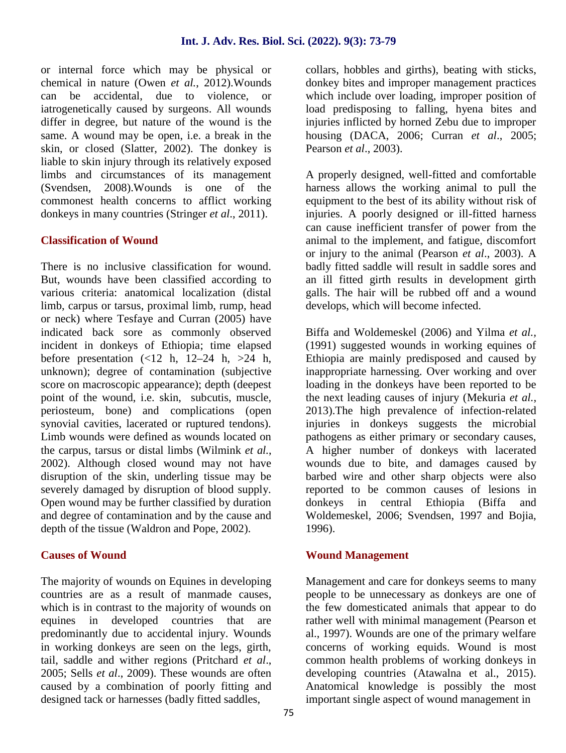or internal force which may be physical or chemical in nature (Owen *et al.*, 2012).Wounds can be accidental, due to violence, or iatrogenetically caused by surgeons. All wounds differ in degree, but nature of the wound is the same. A wound may be open, i.e. a break in the skin, or closed (Slatter, 2002). The donkey is liable to skin injury through its relatively exposed limbs and circumstances of its management (Svendsen, 2008).Wounds is one of the commonest health concerns to afflict working donkeys in many countries (Stringer *et al*., 2011).

#### **Classification of Wound**

There is no inclusive classification for wound. But, wounds have been classified according to various criteria: anatomical localization (distal limb, carpus or tarsus, proximal limb, rump, head or neck) where Tesfaye and Curran (2005) have indicated back sore as commonly observed incident in donkeys of Ethiopia; time elapsed before presentation  $\left(\frac{12}{11}, 12-24 \right)$  h,  $\left(\frac{12}{11}, 12-24 \right)$ unknown); degree of contamination (subjective score on macroscopic appearance); depth (deepest point of the wound, i.e. skin, subcutis, muscle, periosteum, bone) and complications (open synovial cavities, lacerated or ruptured tendons). Limb wounds were defined as wounds located on the carpus, tarsus or distal limbs (Wilmink *et al.*, 2002). Although closed wound may not have disruption of the skin, underling tissue may be severely damaged by disruption of blood supply. Open wound may be further classified by duration and degree of contamination and by the cause and depth of the tissue (Waldron and Pope, 2002).

#### **Causes of Wound**

The majority of wounds on Equines in developing countries are as a result of manmade causes, which is in contrast to the majority of wounds on equines in developed countries that are predominantly due to accidental injury. Wounds in working donkeys are seen on the legs, girth, tail, saddle and wither regions (Pritchard *et al*., 2005; Sells *et al*., 2009). These wounds are often caused by a combination of poorly fitting and designed tack or harnesses (badly fitted saddles,

collars, hobbles and girths), beating with sticks, donkey bites and improper management practices which include over loading, improper position of load predisposing to falling, hyena bites and injuries inflicted by horned Zebu due to improper housing (DACA, 2006; Curran *et al*., 2005; Pearson *et al*., 2003).

A properly designed, well-fitted and comfortable harness allows the working animal to pull the equipment to the best of its ability without risk of injuries. A poorly designed or ill-fitted harness can cause inefficient transfer of power from the animal to the implement, and fatigue, discomfort or injury to the animal (Pearson *et al*., 2003). A badly fitted saddle will result in saddle sores and an ill fitted girth results in development girth galls. The hair will be rubbed off and a wound develops, which will become infected.

Biffa and Woldemeskel (2006) and Yilma *et al.,* (1991) suggested wounds in working equines of Ethiopia are mainly predisposed and caused by inappropriate harnessing. Over working and over loading in the donkeys have been reported to be the next leading causes of injury (Mekuria *et al.*, 2013).The high prevalence of infection-related injuries in donkeys suggests the microbial pathogens as either primary or secondary causes, A higher number of donkeys with lacerated wounds due to bite, and damages caused by barbed wire and other sharp objects were also reported to be common causes of lesions in in central Ethiopia (Biffa and Woldemeskel, 2006; Svendsen, 1997 and Bojia, 1996).

#### **Wound Management**

Management and care for donkeys seems to many people to be unnecessary as donkeys are one of the few domesticated animals that appear to do rather well with minimal management (Pearson et al., 1997). Wounds are one of the primary welfare concerns of working equids. Wound is most common health problems of working donkeys in developing countries (Atawalna et al., 2015). Anatomical knowledge is possibly the most important single aspect of wound management in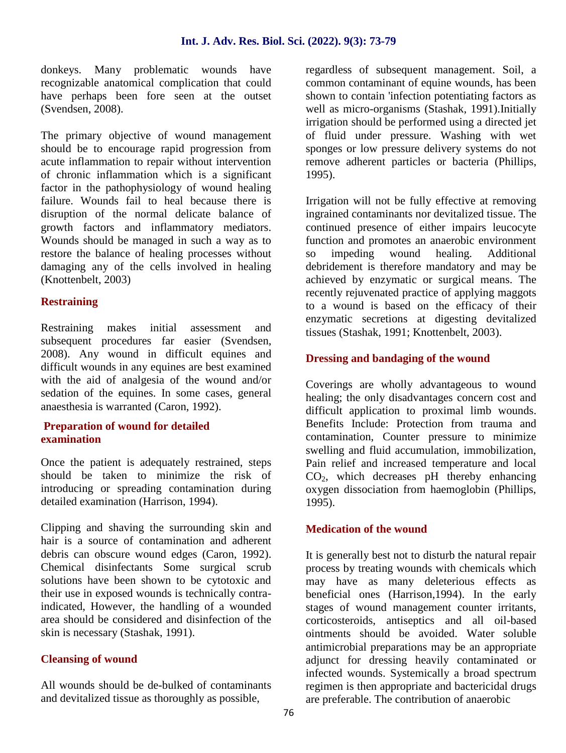donkeys. Many problematic wounds have recognizable anatomical complication that could have perhaps been fore seen at the outset (Svendsen, 2008).

The primary objective of wound management should be to encourage rapid progression from acute inflammation to repair without intervention of chronic inflammation which is a significant factor in the pathophysiology of wound healing failure. Wounds fail to heal because there is disruption of the normal delicate balance of growth factors and inflammatory mediators. Wounds should be managed in such a way as to restore the balance of healing processes without damaging any of the cells involved in healing (Knottenbelt, 2003)

#### **Restraining**

Restraining makes initial assessment and subsequent procedures far easier (Svendsen, 2008). Any wound in difficult equines and difficult wounds in any equines are best examined with the aid of analgesia of the wound and/or sedation of the equines. In some cases, general anaesthesia is warranted (Caron, 1992).

#### **Preparation of wound for detailed examination**

Once the patient is adequately restrained, steps should be taken to minimize the risk of introducing or spreading contamination during detailed examination (Harrison, 1994).

Clipping and shaving the surrounding skin and hair is a source of contamination and adherent debris can obscure wound edges (Caron, 1992). Chemical disinfectants Some surgical scrub solutions have been shown to be cytotoxic and their use in exposed wounds is technically contraindicated, However, the handling of a wounded area should be considered and disinfection of the skin is necessary (Stashak, 1991).

#### **Cleansing of wound**

All wounds should be de-bulked of contaminants and devitalized tissue as thoroughly as possible,

regardless of subsequent management. Soil, a common contaminant of equine wounds, has been shown to contain 'infection potentiating factors as well as micro-organisms (Stashak, 1991).Initially irrigation should be performed using a directed jet of fluid under pressure. Washing with wet sponges or low pressure delivery systems do not remove adherent particles or bacteria (Phillips, 1995).

Irrigation will not be fully effective at removing ingrained contaminants nor devitalized tissue. The continued presence of either impairs leucocyte function and promotes an anaerobic environment so impeding wound healing. Additional debridement is therefore mandatory and may be achieved by enzymatic or surgical means. The recently rejuvenated practice of applying maggots to a wound is based on the efficacy of their enzymatic secretions at digesting devitalized tissues (Stashak, 1991; Knottenbelt, 2003).

#### **Dressing and bandaging of the wound**

Coverings are wholly advantageous to wound healing; the only disadvantages concern cost and difficult application to proximal limb wounds. Benefits Include: Protection from trauma and contamination, Counter pressure to minimize swelling and fluid accumulation, immobilization, Pain relief and increased temperature and local  $CO<sub>2</sub>$ , which decreases pH thereby enhancing oxygen dissociation from haemoglobin (Phillips, 1995).

#### **Medication of the wound**

It is generally best not to disturb the natural repair process by treating wounds with chemicals which may have as many deleterious effects as beneficial ones (Harrison,1994). In the early stages of wound management counter irritants, corticosteroids, antiseptics and all oil-based ointments should be avoided. Water soluble antimicrobial preparations may be an appropriate adjunct for dressing heavily contaminated or infected wounds. Systemically a broad spectrum regimen is then appropriate and bactericidal drugs are preferable. The contribution of anaerobic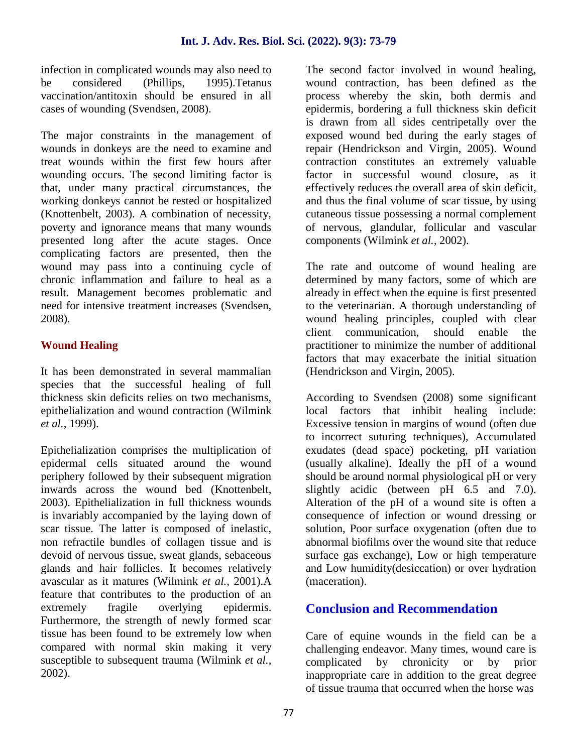infection in complicated wounds may also need to be considered (Phillips, 1995).Tetanus vaccination/antitoxin should be ensured in all cases of wounding (Svendsen, 2008).

The major constraints in the management of wounds in donkeys are the need to examine and treat wounds within the first few hours after wounding occurs. The second limiting factor is that, under many practical circumstances, the working donkeys cannot be rested or hospitalized (Knottenbelt, 2003). A combination of necessity, poverty and ignorance means that many wounds presented long after the acute stages. Once complicating factors are presented, then the wound may pass into a continuing cycle of chronic inflammation and failure to heal as a result. Management becomes problematic and need for intensive treatment increases (Svendsen, 2008).

## **Wound Healing**

It has been demonstrated in several mammalian species that the successful healing of full thickness skin deficits relies on two mechanisms, epithelialization and wound contraction (Wilmink *et al.*, 1999).

Epithelialization comprises the multiplication of epidermal cells situated around the wound periphery followed by their subsequent migration inwards across the wound bed (Knottenbelt, 2003). Epithelialization in full thickness wounds is invariably accompanied by the laying down of scar tissue. The latter is composed of inelastic, non refractile bundles of collagen tissue and is devoid of nervous tissue, sweat glands, sebaceous glands and hair follicles. It becomes relatively avascular as it matures (Wilmink *et al.,* 2001).A feature that contributes to the production of an extremely fragile overlying epidermis. Furthermore, the strength of newly formed scar tissue has been found to be extremely low when compared with normal skin making it very susceptible to subsequent trauma (Wilmink *et al.,* 2002).

The second factor involved in wound healing, wound contraction, has been defined as the process whereby the skin, both dermis and epidermis, bordering a full thickness skin deficit is drawn from all sides centripetally over the exposed wound bed during the early stages of repair (Hendrickson and Virgin, 2005). Wound contraction constitutes an extremely valuable factor in successful wound closure, as it effectively reduces the overall area of skin deficit, and thus the final volume of scar tissue, by using cutaneous tissue possessing a normal complement of nervous, glandular, follicular and vascular components (Wilmink *et al.,* 2002).

The rate and outcome of wound healing are determined by many factors, some of which are already in effect when the equine is first presented to the veterinarian. A thorough understanding of wound healing principles, coupled with clear<br>client communication, should enable the client communication, should enable the practitioner to minimize the number of additional factors that may exacerbate the initial situation (Hendrickson and Virgin, 2005).

According to Svendsen (2008) some significant local factors that inhibit healing include: Excessive tension in margins of wound (often due to incorrect suturing techniques), Accumulated exudates (dead space) pocketing, pH variation (usually alkaline). Ideally the pH of a wound should be around normal physiological pH or very slightly acidic (between pH 6.5 and 7.0). Alteration of the pH of a wound site is often a consequence of infection or wound dressing or solution, Poor surface oxygenation (often due to abnormal biofilms over the wound site that reduce surface gas exchange), Low or high temperature and Low humidity(desiccation) or over hydration (maceration).

# **Conclusion and Recommendation**

Care of equine wounds in the field can be a challenging endeavor. Many times, wound care is complicated by chronicity or by prior inappropriate care in addition to the great degree of tissue trauma that occurred when the horse was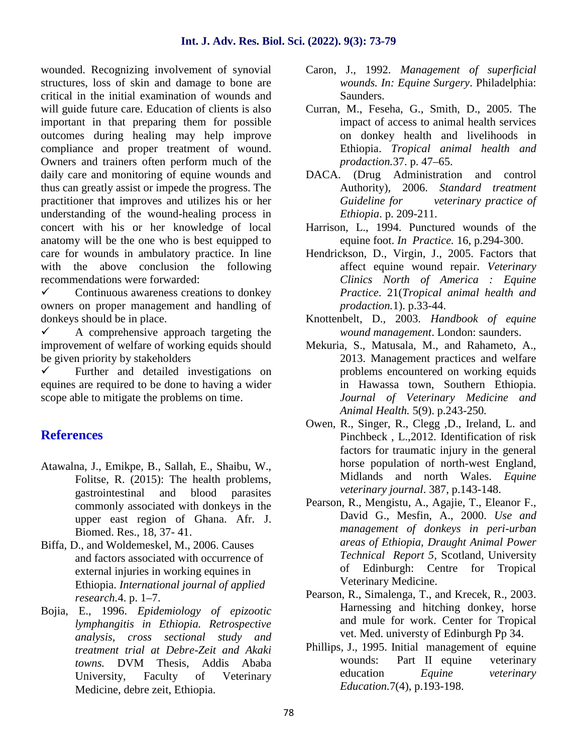#### **Int. J. Adv. Res. Biol. Sci. (2022). 9(3): 73-79**

wounded. Recognizing involvement of synovial structures, loss of skin and damage to bone are critical in the initial examination of wounds and will guide future care. Education of clients is also important in that preparing them for possible outcomes during healing may help improve compliance and proper treatment of wound. Owners and trainers often perform much of the daily care and monitoring of equine wounds and thus can greatly assist or impede the progress. The practitioner that improves and utilizes his or her understanding of the wound-healing process in concert with his or her knowledge of local anatomy will be the one who is best equipped to care for wounds in ambulatory practice. In line with the above conclusion the following recommendations were forwarded:

 $\checkmark$  Continuous awareness creations to donkey owners on proper management and handling of donkeys should be in place.

 $\checkmark$  A comprehensive approach targeting the improvement of welfare of working equids should be given priority by stakeholders

 $\checkmark$  Further and detailed investigations on equines are required to be done to having a wider scope able to mitigate the problems on time.

## **References**

- Atawalna, J., Emikpe, B., Sallah, E., Shaibu, W., Folitse, R. (2015): The health problems, gastrointestinal and blood parasites commonly associated with donkeys in the upper east region of Ghana. Afr. J. Biomed. Res., 18, 37- 41.
- Biffa, D., and Woldemeskel, M., 2006. Causes and factors associated with occurrence of external injuries in working equines in Ethiopia. *International journal of applied research.*4. p. 1–7.
- Bojia, E., 1996. *Epidemiology of epizootic lymphangitis in Ethiopia. Retrospective analysis, cross sectional study and treatment trial at Debre-Zeit and Akaki towns.* DVM Thesis, Addis Ababa University, Faculty of Veterinary Medicine, debre zeit, Ethiopia.
- Caron, J., 1992. *Management of superficial wounds. In: Equine Surgery*. Philadelphia: Saunders.
- Curran, M., Feseha, G., Smith, D., 2005. The impact of access to animal health services on donkey health and livelihoods in Ethiopia. *Tropical animal health and prodaction.*37. p. 47–65.
- DACA. (Drug Administration and control Authority), 2006. *Standard treatment Guideline for veterinary practice of Ethiopia*. p. 209-211.
- Harrison, L., 1994. Punctured wounds of the equine foot. *In Practice.* 16, p.294-300.
- Hendrickson, D., Virgin, J., 2005. Factors that affect equine wound repair. *Veterinary Clinics North of America : Equine Practice*. 21(*Tropical animal health and prodaction.*1). p.33-44.
- Knottenbelt, D., 2003. *Handbook of equine wound management*. London: saunders.
- Mekuria, S., Matusala, M., and Rahameto, A., 2013. Management practices and welfare problems encountered on working equids in Hawassa town, Southern Ethiopia. *Journal of Veterinary Medicine and Animal Health.* 5(9). p.243-250*.*
- Owen, R., Singer, R., Clegg ,D., Ireland, L. and Pinchbeck , L.,2012. Identification of risk factors for traumatic injury in the general horse population of north-west England, Midlands and north Wales. *Equine veterinary journal*. 387, p.143-148.
- Pearson, R., Mengistu, A., Agajie, T., Eleanor F., David G., Mesfin, A., 2000. *Use and management of donkeys in peri-urban areas of Ethiopia, Draught Animal Power Technical Report 5,* Scotland, University of Edinburgh: Centre for Tropical Veterinary Medicine.
- Pearson, R., Simalenga, T., and Krecek, R., 2003. Harnessing and hitching donkey, horse and mule for work. Center for Tropical vet. Med. universty of Edinburgh Pp 34.
- Phillips, J., 1995. Initial management of equine wounds: Part II equine veterinary education *Equine veterinary Education.*7(4), p.193-198.